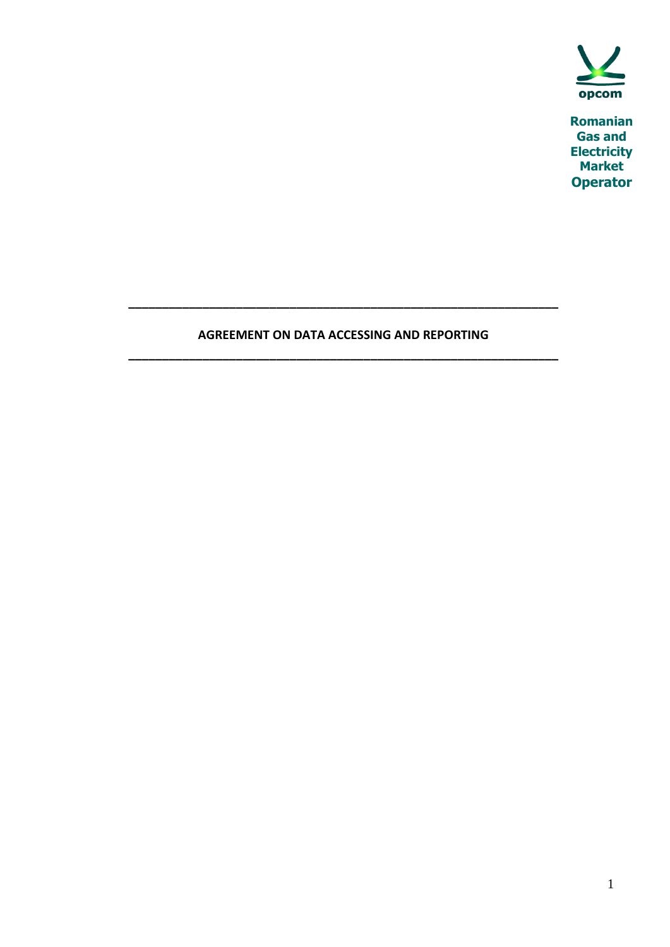

**Romanian Gas and Electricity Market Operator**

# **AGREEMENT ON DATA ACCESSING AND REPORTING \_\_\_\_\_\_\_\_\_\_\_\_\_\_\_\_\_\_\_\_\_\_\_\_\_\_\_\_\_\_\_\_\_\_\_\_\_\_\_\_\_\_\_\_\_\_\_\_\_\_\_\_\_\_\_\_\_\_\_\_\_\_\_\_**

**\_\_\_\_\_\_\_\_\_\_\_\_\_\_\_\_\_\_\_\_\_\_\_\_\_\_\_\_\_\_\_\_\_\_\_\_\_\_\_\_\_\_\_\_\_\_\_\_\_\_\_\_\_\_\_\_\_\_\_\_\_\_\_\_**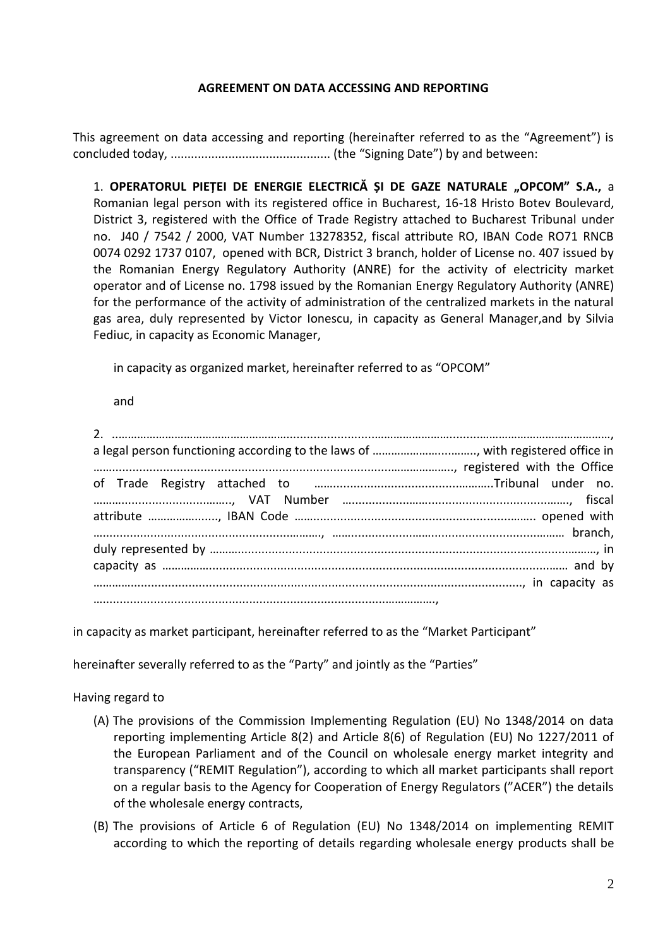### **AGREEMENT ON DATA ACCESSING AND REPORTING**

This agreement on data accessing and reporting (hereinafter referred to as the "Agreement") is concluded today, ............................................... (the "Signing Date") by and between:

1. OPERATORUL PIEȚEI DE ENERGIE ELECTRICĂ ȘI DE GAZE NATURALE "OPCOM" S.A., a Romanian legal person with its registered office in Bucharest, 16-18 Hristo Botev Boulevard, District 3, registered with the Office of Trade Registry attached to Bucharest Tribunal under no. J40 / 7542 / 2000, VAT Number 13278352, fiscal attribute RO, IBAN Code RO71 RNCB 0074 0292 1737 0107, opened with BCR, District 3 branch, holder of License no. 407 issued by the Romanian Energy Regulatory Authority (ANRE) for the activity of electricity market operator and of License no. 1798 issued by the Romanian Energy Regulatory Authority (ANRE) for the performance of the activity of administration of the centralized markets in the natural gas area, duly represented by Victor Ionescu, in capacity as General Manager,and by Silvia Fediuc, in capacity as Economic Manager,

in capacity as organized market, hereinafter referred to as "OPCOM"

and

in capacity as market participant, hereinafter referred to as the "Market Participant"

hereinafter severally referred to as the "Party" and jointly as the "Parties"

Having regard to

- (A) The provisions of the Commission Implementing Regulation (EU) No 1348/2014 on data reporting implementing Article 8(2) and Article 8(6) of Regulation (EU) No 1227/2011 of the European Parliament and of the Council on wholesale energy market integrity and transparency ("REMIT Regulation"), according to which all market participants shall report on a regular basis to the Agency for Cooperation of Energy Regulators ("ACER") the details of the wholesale energy contracts,
- (B) The provisions of Article 6 of Regulation (EU) No 1348/2014 on implementing REMIT according to which the reporting of details regarding wholesale energy products shall be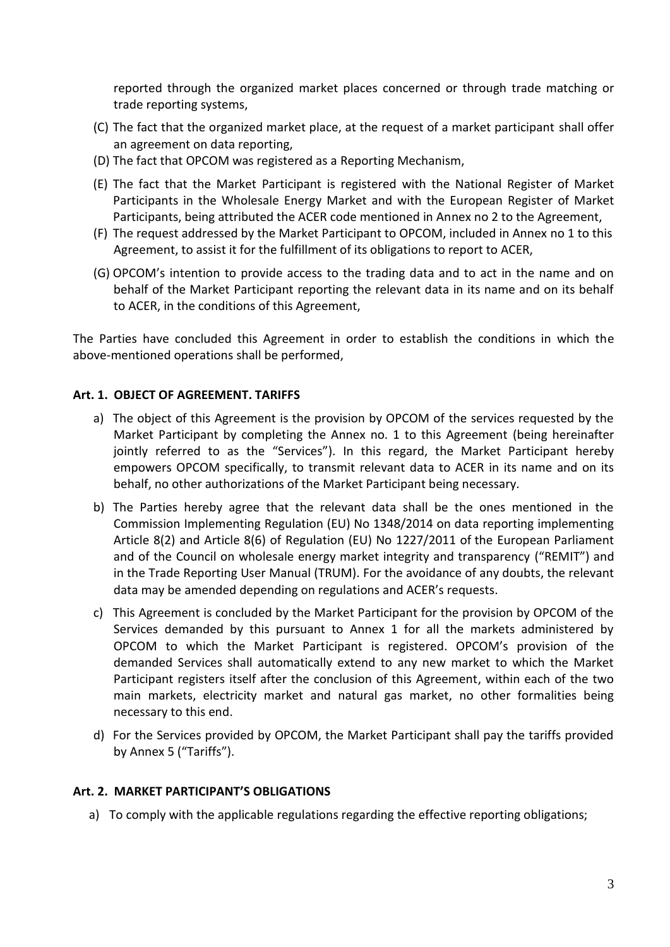reported through the organized market places concerned or through trade matching or trade reporting systems,

- (C) The fact that the organized market place, at the request of a market participant shall offer an agreement on data reporting,
- (D) The fact that OPCOM was registered as a Reporting Mechanism,
- (E) The fact that the Market Participant is registered with the National Register of Market Participants in the Wholesale Energy Market and with the European Register of Market Participants, being attributed the ACER code mentioned in Annex no 2 to the Agreement,
- (F) The request addressed by the Market Participant to OPCOM, included in Annex no 1 to this Agreement, to assist it for the fulfillment of its obligations to report to ACER,
- (G) OPCOM's intention to provide access to the trading data and to act in the name and on behalf of the Market Participant reporting the relevant data in its name and on its behalf to ACER, in the conditions of this Agreement,

The Parties have concluded this Agreement in order to establish the conditions in which the above-mentioned operations shall be performed,

### **Art. 1. OBJECT OF AGREEMENT. TARIFFS**

- a) The object of this Agreement is the provision by OPCOM of the services requested by the Market Participant by completing the Annex no. 1 to this Agreement (being hereinafter jointly referred to as the "Services"). In this regard, the Market Participant hereby empowers OPCOM specifically, to transmit relevant data to ACER in its name and on its behalf, no other authorizations of the Market Participant being necessary.
- b) The Parties hereby agree that the relevant data shall be the ones mentioned in the Commission Implementing Regulation (EU) No 1348/2014 on data reporting implementing Article 8(2) and Article 8(6) of Regulation (EU) No 1227/2011 of the European Parliament and of the Council on wholesale energy market integrity and transparency ("REMIT") and in the Trade Reporting User Manual (TRUM). For the avoidance of any doubts, the relevant data may be amended depending on regulations and ACER's requests.
- c) This Agreement is concluded by the Market Participant for the provision by OPCOM of the Services demanded by this pursuant to Annex 1 for all the markets administered by OPCOM to which the Market Participant is registered. OPCOM's provision of the demanded Services shall automatically extend to any new market to which the Market Participant registers itself after the conclusion of this Agreement, within each of the two main markets, electricity market and natural gas market, no other formalities being necessary to this end.
- d) For the Services provided by OPCOM, the Market Participant shall pay the tariffs provided by Annex 5 ("Tariffs").

### **Art. 2. MARKET PARTICIPANT'S OBLIGATIONS**

a) To comply with the applicable regulations regarding the effective reporting obligations;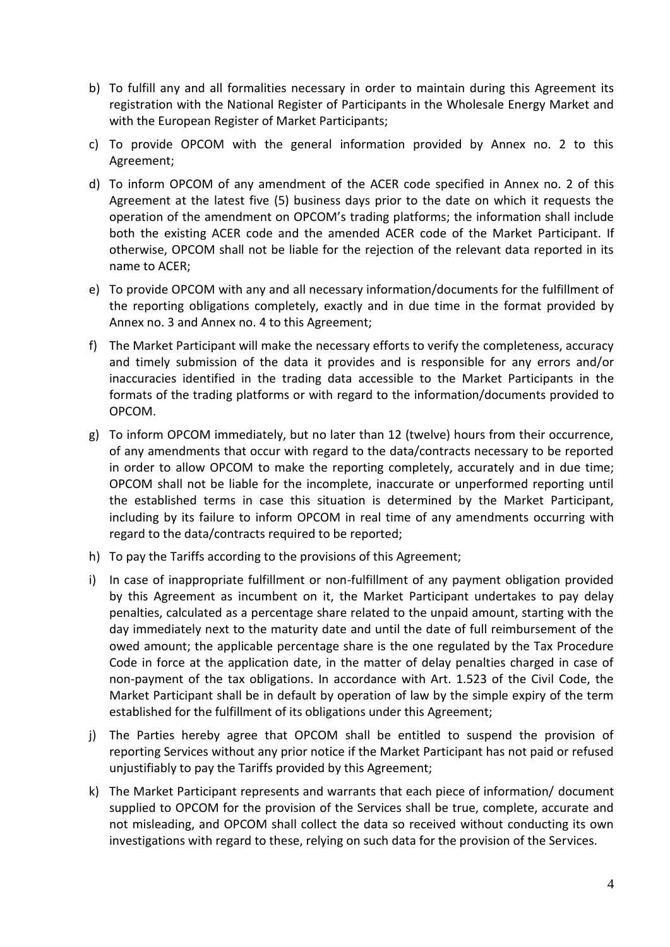- b) To fulfill any and all formalities necessary in order to maintain during this Agreement its registration with the National Register of Participants in the Wholesale Energy Market and with the European Register of Market Participants;
- c) To provide OPCOM with the general information provided by Annex no. 2 to this Agreement;
- d) To inform OPCOM of any amendment of the ACER code specified in Annex no. 2 of this Agreement at the latest five (5) business days prior to the date on which it requests the operation of the amendment on OPCOM's trading platforms; the information shall include both the existing ACER code and the amended ACER code of the Market Participant. If otherwise, OPCOM shall not be liable for the rejection of the relevant data reported in its name to ACER;
- e) To provide OPCOM with any and all necessary information/documents for the fulfillment of the reporting obligations completely, exactly and in due time in the format provided by Annex no. 3 and Annex no. 4 to this Agreement;
- f) The Market Participant will make the necessary efforts to verify the completeness, accuracy and timely submission of the data it provides and is responsible for any errors and/or inaccuracies identified in the trading data accessible to the Market Participants in the formats of the trading platforms or with regard to the information/documents provided to OPCOM.
- g) To inform OPCOM immediately, but no later than 12 (twelve) hours from their occurrence, of any amendments that occur with regard to the data/contracts necessary to be reported in order to allow OPCOM to make the reporting completely, accurately and in due time; OPCOM shall not be liable for the incomplete, inaccurate or unperformed reporting until the established terms in case this situation is determined by the Market Participant, including by its failure to inform OPCOM in real time of any amendments occurring with regard to the data/contracts required to be reported;
- h) To pay the Tariffs according to the provisions of this Agreement;
- i) In case of inappropriate fulfillment or non-fulfillment of any payment obligation provided by this Agreement as incumbent on it, the Market Participant undertakes to pay delay penalties, calculated as a percentage share related to the unpaid amount, starting with the day immediately next to the maturity date and until the date of full reimbursement of the owed amount; the applicable percentage share is the one regulated by the Tax Procedure Code in force at the application date, in the matter of delay penalties charged in case of non-payment of the tax obligations. In accordance with Art. 1.523 of the Civil Code, the Market Participant shall be in default by operation of law by the simple expiry of the term established for the fulfillment of its obligations under this Agreement;
- j) The Parties hereby agree that OPCOM shall be entitled to suspend the provision of reporting Services without any prior notice if the Market Participant has not paid or refused unjustifiably to pay the Tariffs provided by this Agreement;
- k) The Market Participant represents and warrants that each piece of information/ document supplied to OPCOM for the provision of the Services shall be true, complete, accurate and not misleading, and OPCOM shall collect the data so received without conducting its own investigations with regard to these, relying on such data for the provision of the Services.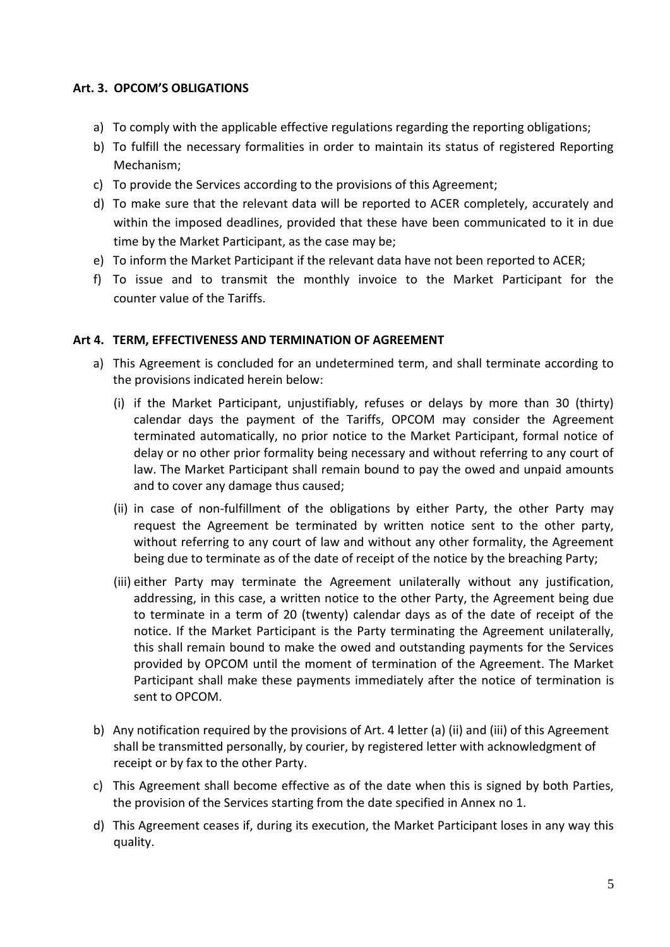### **Art. 3. OPCOM'S OBLIGATIONS**

- a) To comply with the applicable effective regulations regarding the reporting obligations;
- b) To fulfill the necessary formalities in order to maintain its status of registered Reporting Mechanism;
- c) To provide the Services according to the provisions of this Agreement;
- d) To make sure that the relevant data will be reported to ACER completely, accurately and within the imposed deadlines, provided that these have been communicated to it in due time by the Market Participant, as the case may be;
- e) To inform the Market Participant if the relevant data have not been reported to ACER;
- f) To issue and to transmit the monthly invoice to the Market Participant for the counter value of the Tariffs.

### **Art 4. TERM, EFFECTIVENESS AND TERMINATION OF AGREEMENT**

- a) This Agreement is concluded for an undetermined term, and shall terminate according to the provisions indicated herein below:
	- (i) if the Market Participant, unjustifiably, refuses or delays by more than 30 (thirty) calendar days the payment of the Tariffs, OPCOM may consider the Agreement terminated automatically, no prior notice to the Market Participant, formal notice of delay or no other prior formality being necessary and without referring to any court of law. The Market Participant shall remain bound to pay the owed and unpaid amounts and to cover any damage thus caused;
	- (ii) in case of non-fulfillment of the obligations by either Party, the other Party may request the Agreement be terminated by written notice sent to the other party, without referring to any court of law and without any other formality, the Agreement being due to terminate as of the date of receipt of the notice by the breaching Party;
	- (iii) either Party may terminate the Agreement unilaterally without any justification, addressing, in this case, a written notice to the other Party, the Agreement being due to terminate in a term of 20 (twenty) calendar days as of the date of receipt of the notice. If the Market Participant is the Party terminating the Agreement unilaterally, this shall remain bound to make the owed and outstanding payments for the Services provided by OPCOM until the moment of termination of the Agreement. The Market Participant shall make these payments immediately after the notice of termination is sent to OPCOM.
- b) Any notification required by the provisions of Art. 4 letter (a) (ii) and (iii) of this Agreement shall be transmitted personally, by courier, by registered letter with acknowledgment of receipt or by fax to the other Party.
- c) This Agreement shall become effective as of the date when this is signed by both Parties, the provision of the Services starting from the date specified in Annex no 1.
- d) This Agreement ceases if, during its execution, the Market Participant loses in any way this quality.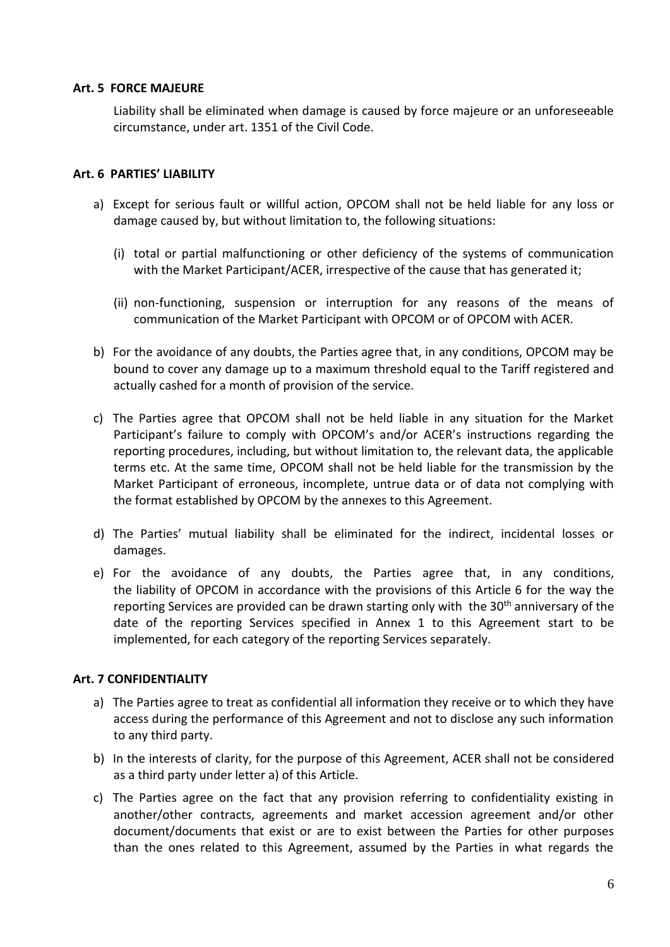### **Art. 5 FORCE MAJEURE**

Liability shall be eliminated when damage is caused by force majeure or an unforeseeable circumstance, under art. 1351 of the Civil Code.

### **Art. 6 PARTIES' LIABILITY**

- a) Except for serious fault or willful action, OPCOM shall not be held liable for any loss or damage caused by, but without limitation to, the following situations:
	- (i) total or partial malfunctioning or other deficiency of the systems of communication with the Market Participant/ACER, irrespective of the cause that has generated it;
	- (ii) non-functioning, suspension or interruption for any reasons of the means of communication of the Market Participant with OPCOM or of OPCOM with ACER.
- b) For the avoidance of any doubts, the Parties agree that, in any conditions, OPCOM may be bound to cover any damage up to a maximum threshold equal to the Tariff registered and actually cashed for a month of provision of the service.
- c) The Parties agree that OPCOM shall not be held liable in any situation for the Market Participant's failure to comply with OPCOM's and/or ACER's instructions regarding the reporting procedures, including, but without limitation to, the relevant data, the applicable terms etc. At the same time, OPCOM shall not be held liable for the transmission by the Market Participant of erroneous, incomplete, untrue data or of data not complying with the format established by OPCOM by the annexes to this Agreement.
- d) The Parties' mutual liability shall be eliminated for the indirect, incidental losses or damages.
- e) For the avoidance of any doubts, the Parties agree that, in any conditions, the liability of OPCOM in accordance with the provisions of this Article 6 for the way the reporting Services are provided can be drawn starting only with the 30<sup>th</sup> anniversary of the date of the reporting Services specified in Annex 1 to this Agreement start to be implemented, for each category of the reporting Services separately.

### **Art. 7 CONFIDENTIALITY**

- a) The Parties agree to treat as confidential all information they receive or to which they have access during the performance of this Agreement and not to disclose any such information to any third party.
- b) In the interests of clarity, for the purpose of this Agreement, ACER shall not be considered as a third party under letter a) of this Article.
- c) The Parties agree on the fact that any provision referring to confidentiality existing in another/other contracts, agreements and market accession agreement and/or other document/documents that exist or are to exist between the Parties for other purposes than the ones related to this Agreement, assumed by the Parties in what regards the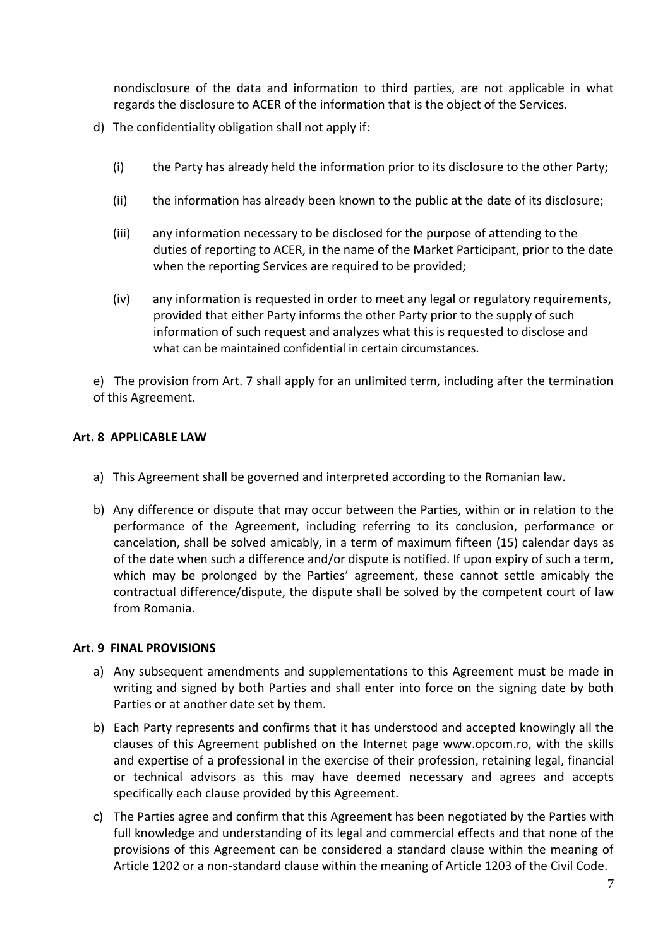nondisclosure of the data and information to third parties, are not applicable in what regards the disclosure to ACER of the information that is the object of the Services.

- d) The confidentiality obligation shall not apply if:
	- (i) the Party has already held the information prior to its disclosure to the other Party;
	- (ii) the information has already been known to the public at the date of its disclosure;
	- (iii) any information necessary to be disclosed for the purpose of attending to the duties of reporting to ACER, in the name of the Market Participant, prior to the date when the reporting Services are required to be provided;
	- (iv) any information is requested in order to meet any legal or regulatory requirements, provided that either Party informs the other Party prior to the supply of such information of such request and analyzes what this is requested to disclose and what can be maintained confidential in certain circumstances.

e) The provision from Art. 7 shall apply for an unlimited term, including after the termination of this Agreement.

### **Art. 8 APPLICABLE LAW**

- a) This Agreement shall be governed and interpreted according to the Romanian law.
- b) Any difference or dispute that may occur between the Parties, within or in relation to the performance of the Agreement, including referring to its conclusion, performance or cancelation, shall be solved amicably, in a term of maximum fifteen (15) calendar days as of the date when such a difference and/or dispute is notified. If upon expiry of such a term, which may be prolonged by the Parties' agreement, these cannot settle amicably the contractual difference/dispute, the dispute shall be solved by the competent court of law from Romania.

### **Art. 9 FINAL PROVISIONS**

- a) Any subsequent amendments and supplementations to this Agreement must be made in writing and signed by both Parties and shall enter into force on the signing date by both Parties or at another date set by them.
- b) Each Party represents and confirms that it has understood and accepted knowingly all the clauses of this Agreement published on the Internet page www.opcom.ro, with the skills and expertise of a professional in the exercise of their profession, retaining legal, financial or technical advisors as this may have deemed necessary and agrees and accepts specifically each clause provided by this Agreement.
- c) The Parties agree and confirm that this Agreement has been negotiated by the Parties with full knowledge and understanding of its legal and commercial effects and that none of the provisions of this Agreement can be considered a standard clause within the meaning of Article 1202 or a non-standard clause within the meaning of Article 1203 of the Civil Code.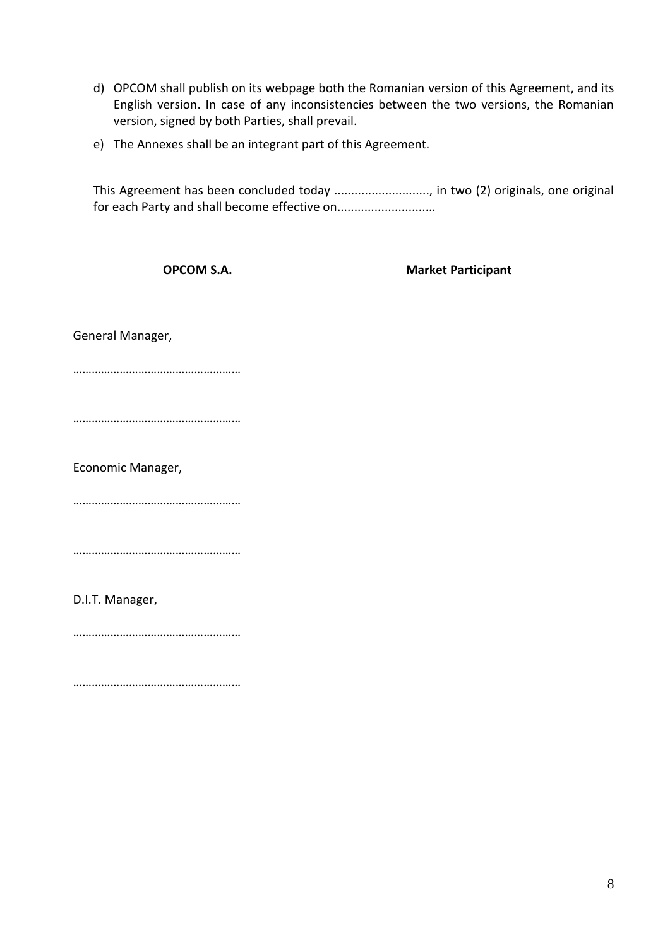- d) OPCOM shall publish on its webpage both the Romanian version of this Agreement, and its English version. In case of any inconsistencies between the two versions, the Romanian version, signed by both Parties, shall prevail.
- e) The Annexes shall be an integrant part of this Agreement.

This Agreement has been concluded today ................................, in two (2) originals, one original for each Party and shall become effective on.............................

| <b>OPCOM S.A.</b> | <b>Market Participant</b> |
|-------------------|---------------------------|
|                   |                           |
| General Manager,  |                           |
|                   |                           |
|                   |                           |
| Economic Manager, |                           |
|                   |                           |
|                   |                           |
| D.I.T. Manager,   |                           |
|                   |                           |
|                   |                           |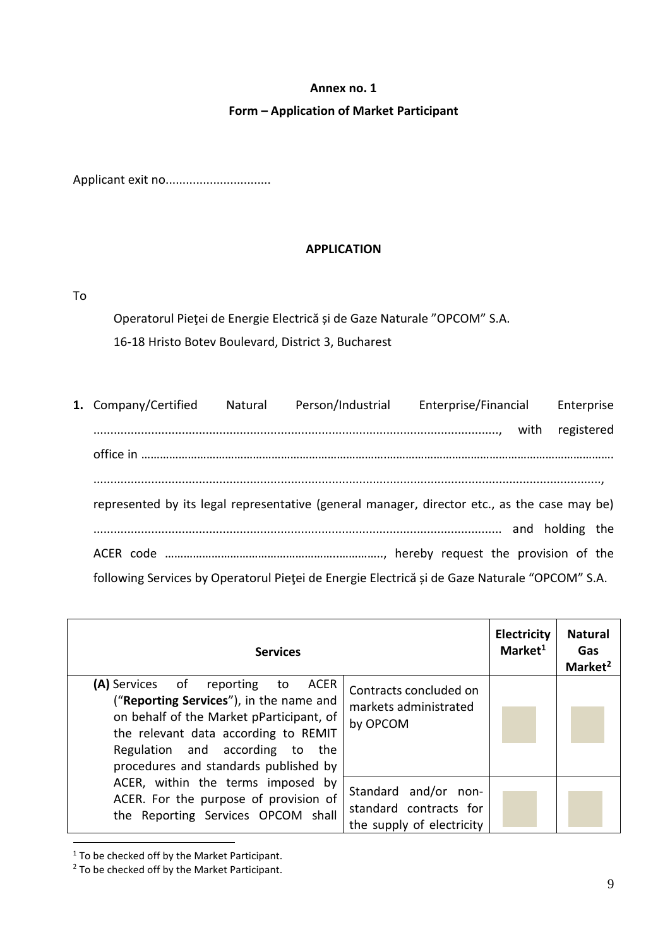### **Form – Application of Market Participant**

Applicant exit no..................................

### **APPLICATION**

To

Operatorul Pieţei de Energie Electrică și de Gaze Naturale "OPCOM" S.A.

16-18 Hristo Botev Boulevard, District 3, Bucharest

| 1. Company/Certified                                                                          | Natural | Person/Industrial | Enterprise/Financial | Enterprise |  |
|-----------------------------------------------------------------------------------------------|---------|-------------------|----------------------|------------|--|
|                                                                                               |         |                   |                      | registered |  |
|                                                                                               |         |                   |                      |            |  |
|                                                                                               |         |                   |                      |            |  |
| represented by its legal representative (general manager, director etc., as the case may be)  |         |                   |                      |            |  |
|                                                                                               |         |                   |                      |            |  |
|                                                                                               |         |                   |                      |            |  |
| following Services by Operatorul Pieței de Energie Electrică și de Gaze Naturale "OPCOM" S.A. |         |                   |                      |            |  |

| <b>Services</b>                                                                                                                                                                                                                                    |                                                                             | <b>Electricity</b><br>Market <sup>1</sup> | <b>Natural</b><br>Gas<br>Market <sup>2</sup> |
|----------------------------------------------------------------------------------------------------------------------------------------------------------------------------------------------------------------------------------------------------|-----------------------------------------------------------------------------|-------------------------------------------|----------------------------------------------|
| (A) Services of reporting<br>ACER<br>to<br>("Reporting Services"), in the name and<br>on behalf of the Market pParticipant, of<br>the relevant data according to REMIT<br>Regulation and according to the<br>procedures and standards published by | Contracts concluded on<br>markets administrated<br>by OPCOM                 |                                           |                                              |
| ACER, within the terms imposed by<br>ACER. For the purpose of provision of<br>the Reporting Services OPCOM shall                                                                                                                                   | Standard and/or non-<br>standard contracts for<br>the supply of electricity |                                           |                                              |

<sup>1</sup> To be checked off by the Market Participant.

 $\overline{a}$ 

<sup>&</sup>lt;sup>2</sup> To be checked off by the Market Participant.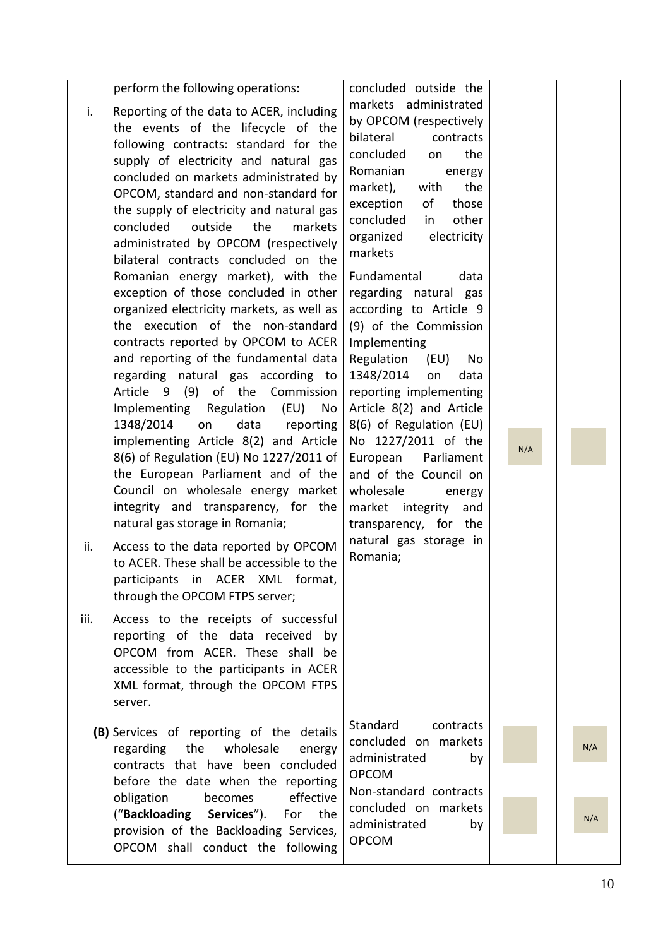| perform the following operations:<br>i.<br>Reporting of the data to ACER, including<br>the events of the lifecycle of the<br>following contracts: standard for the<br>supply of electricity and natural gas<br>concluded on markets administrated by<br>OPCOM, standard and non-standard for<br>the supply of electricity and natural gas<br>concluded<br>outside<br>the<br>markets<br>administrated by OPCOM (respectively<br>bilateral contracts concluded on the                                                                                                                                                                                                                                                                                                                                                                                                                                                                                                                                                                   | concluded outside the<br>markets administrated<br>by OPCOM (respectively<br>bilateral<br>contracts<br>concluded<br>the<br>on<br>Romanian<br>energy<br>market),<br>with<br>the<br>exception<br>of<br>those<br>concluded<br>other<br>in<br>electricity<br>organized<br>markets                                                                                                                                                                       |     |     |
|---------------------------------------------------------------------------------------------------------------------------------------------------------------------------------------------------------------------------------------------------------------------------------------------------------------------------------------------------------------------------------------------------------------------------------------------------------------------------------------------------------------------------------------------------------------------------------------------------------------------------------------------------------------------------------------------------------------------------------------------------------------------------------------------------------------------------------------------------------------------------------------------------------------------------------------------------------------------------------------------------------------------------------------|----------------------------------------------------------------------------------------------------------------------------------------------------------------------------------------------------------------------------------------------------------------------------------------------------------------------------------------------------------------------------------------------------------------------------------------------------|-----|-----|
| Romanian energy market), with the<br>exception of those concluded in other<br>organized electricity markets, as well as<br>the execution of the non-standard<br>contracts reported by OPCOM to ACER<br>and reporting of the fundamental data<br>regarding natural gas according to<br>Article 9 (9) of the Commission<br>Implementing Regulation (EU)<br>No<br>1348/2014<br>on<br>data<br>reporting<br>implementing Article 8(2) and Article<br>8(6) of Regulation (EU) No 1227/2011 of<br>the European Parliament and of the<br>Council on wholesale energy market<br>integrity and transparency, for the<br>natural gas storage in Romania;<br>Access to the data reported by OPCOM<br>ii.<br>to ACER. These shall be accessible to the<br>participants in ACER XML format,<br>through the OPCOM FTPS server;<br>iii.<br>Access to the receipts of successful<br>reporting of the data received<br>by<br>OPCOM from ACER. These shall be<br>accessible to the participants in ACER<br>XML format, through the OPCOM FTPS<br>server. | Fundamental<br>data<br>regarding natural gas<br>according to Article 9<br>(9) of the Commission<br>Implementing<br>Regulation<br>(EU)<br>No<br>1348/2014<br>data<br>on<br>reporting implementing<br>Article 8(2) and Article<br>8(6) of Regulation (EU)<br>No 1227/2011 of the<br>European<br>Parliament<br>and of the Council on<br>wholesale<br>energy<br>market integrity<br>and<br>transparency, for the<br>natural gas storage in<br>Romania; | N/A |     |
| (B) Services of reporting of the details<br>wholesale<br>regarding<br>the<br>energy<br>contracts that have been concluded<br>before the date when the reporting                                                                                                                                                                                                                                                                                                                                                                                                                                                                                                                                                                                                                                                                                                                                                                                                                                                                       | Standard<br>contracts<br>concluded on markets<br>administrated<br>by<br><b>OPCOM</b>                                                                                                                                                                                                                                                                                                                                                               |     | N/A |
| effective<br>obligation<br>becomes<br>("Backloading<br>Services").<br>For<br>the<br>provision of the Backloading Services,<br>OPCOM shall conduct the following                                                                                                                                                                                                                                                                                                                                                                                                                                                                                                                                                                                                                                                                                                                                                                                                                                                                       | Non-standard contracts<br>concluded on markets<br>administrated<br>by<br><b>OPCOM</b>                                                                                                                                                                                                                                                                                                                                                              |     | N/A |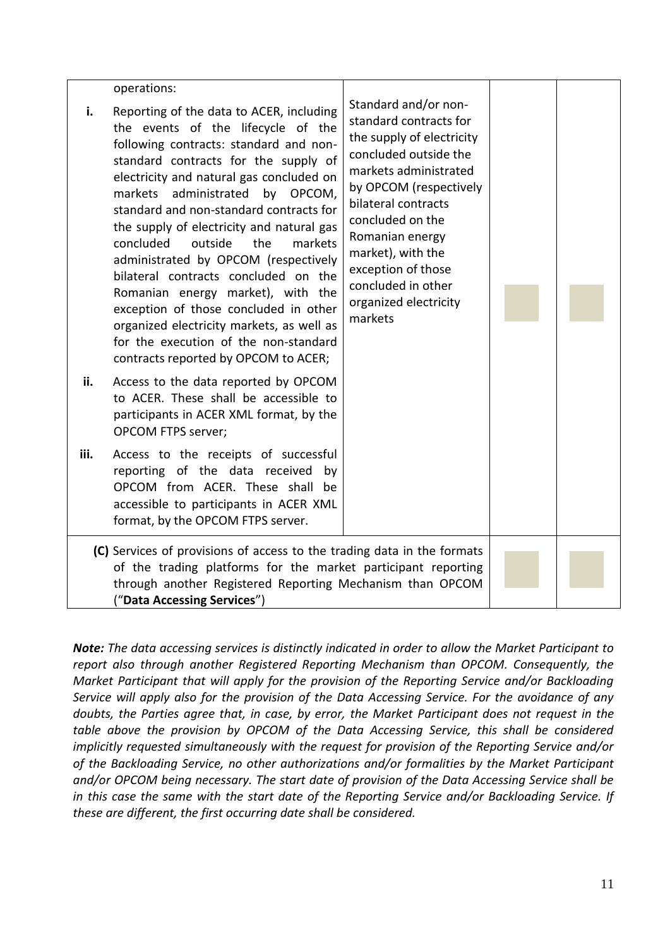|      | operations:                                                                                                                                                                                                                                                                                                                                                                                                                                                                                                                                                                                                                                                                      |                                                                                                                                                                                                                                                                                                                            |  |  |
|------|----------------------------------------------------------------------------------------------------------------------------------------------------------------------------------------------------------------------------------------------------------------------------------------------------------------------------------------------------------------------------------------------------------------------------------------------------------------------------------------------------------------------------------------------------------------------------------------------------------------------------------------------------------------------------------|----------------------------------------------------------------------------------------------------------------------------------------------------------------------------------------------------------------------------------------------------------------------------------------------------------------------------|--|--|
| i.   | Reporting of the data to ACER, including<br>the events of the lifecycle of the<br>following contracts: standard and non-<br>standard contracts for the supply of<br>electricity and natural gas concluded on<br>markets administrated<br>by OPCOM,<br>standard and non-standard contracts for<br>the supply of electricity and natural gas<br>markets<br>concluded<br>outside<br>the<br>administrated by OPCOM (respectively<br>bilateral contracts concluded on the<br>Romanian energy market), with the<br>exception of those concluded in other<br>organized electricity markets, as well as<br>for the execution of the non-standard<br>contracts reported by OPCOM to ACER; | Standard and/or non-<br>standard contracts for<br>the supply of electricity<br>concluded outside the<br>markets administrated<br>by OPCOM (respectively<br>bilateral contracts<br>concluded on the<br>Romanian energy<br>market), with the<br>exception of those<br>concluded in other<br>organized electricity<br>markets |  |  |
| ii.  | Access to the data reported by OPCOM<br>to ACER. These shall be accessible to<br>participants in ACER XML format, by the<br><b>OPCOM FTPS server;</b>                                                                                                                                                                                                                                                                                                                                                                                                                                                                                                                            |                                                                                                                                                                                                                                                                                                                            |  |  |
| iii. | Access to the receipts of successful<br>reporting of the data received by<br>OPCOM from ACER. These shall be<br>accessible to participants in ACER XML<br>format, by the OPCOM FTPS server.                                                                                                                                                                                                                                                                                                                                                                                                                                                                                      |                                                                                                                                                                                                                                                                                                                            |  |  |
|      | (C) Services of provisions of access to the trading data in the formats<br>of the trading platforms for the market participant reporting<br>through another Registered Reporting Mechanism than OPCOM<br>("Data Accessing Services")                                                                                                                                                                                                                                                                                                                                                                                                                                             |                                                                                                                                                                                                                                                                                                                            |  |  |

*Note: The data accessing services is distinctly indicated in order to allow the Market Participant to report also through another Registered Reporting Mechanism than OPCOM. Consequently, the Market Participant that will apply for the provision of the Reporting Service and/or Backloading Service will apply also for the provision of the Data Accessing Service. For the avoidance of any doubts, the Parties agree that, in case, by error, the Market Participant does not request in the table above the provision by OPCOM of the Data Accessing Service, this shall be considered implicitly requested simultaneously with the request for provision of the Reporting Service and/or of the Backloading Service, no other authorizations and/or formalities by the Market Participant and/or OPCOM being necessary. The start date of provision of the Data Accessing Service shall be in this case the same with the start date of the Reporting Service and/or Backloading Service. If these are different, the first occurring date shall be considered.*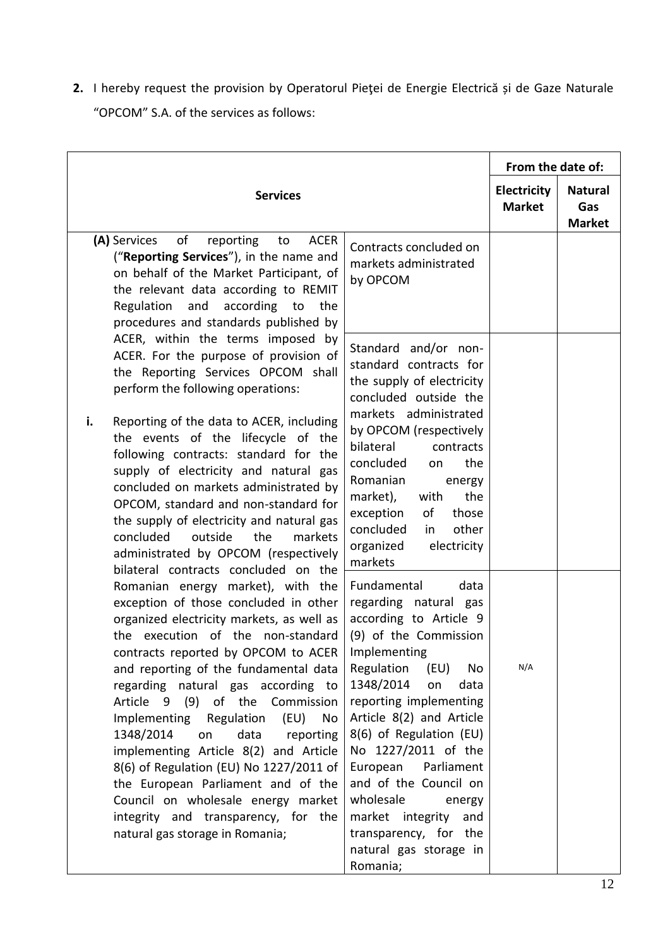**2.** I hereby request the provision by Operatorul Pieţei de Energie Electrică și de Gaze Naturale "OPCOM" S.A. of the services as follows:

| Contracts concluded on<br>markets administrated<br>by OPCOM<br>Standard and/or non-                                                                                                                                                                 | Electricity<br><b>Market</b> | <b>Natural</b><br>Gas<br><b>Market</b> |
|-----------------------------------------------------------------------------------------------------------------------------------------------------------------------------------------------------------------------------------------------------|------------------------------|----------------------------------------|
|                                                                                                                                                                                                                                                     |                              |                                        |
|                                                                                                                                                                                                                                                     |                              |                                        |
| standard contracts for<br>the supply of electricity<br>concluded outside the                                                                                                                                                                        |                              |                                        |
| markets administrated<br>by OPCOM (respectively<br>bilateral<br>contracts<br>concluded<br>the<br>on<br>Romanian<br>energy<br>the<br>market),<br>with<br>exception<br>of<br>those<br>concluded<br>other<br>in<br>organized<br>electricity<br>markets |                              |                                        |
| Fundamental<br>data<br>regarding natural gas<br>according to Article 9<br>(9) of the Commission<br>Implementing<br>Regulation<br>(EU)<br>No<br>1348/2014<br>data<br>on                                                                              | N/A                          |                                        |
| reporting implementing<br>Article 8(2) and Article<br>8(6) of Regulation (EU)<br>No 1227/2011 of the<br>European<br>Parliament<br>and of the Council on<br>wholesale<br>energy<br>market integrity<br>and                                           |                              |                                        |
|                                                                                                                                                                                                                                                     |                              | transparency, for the                  |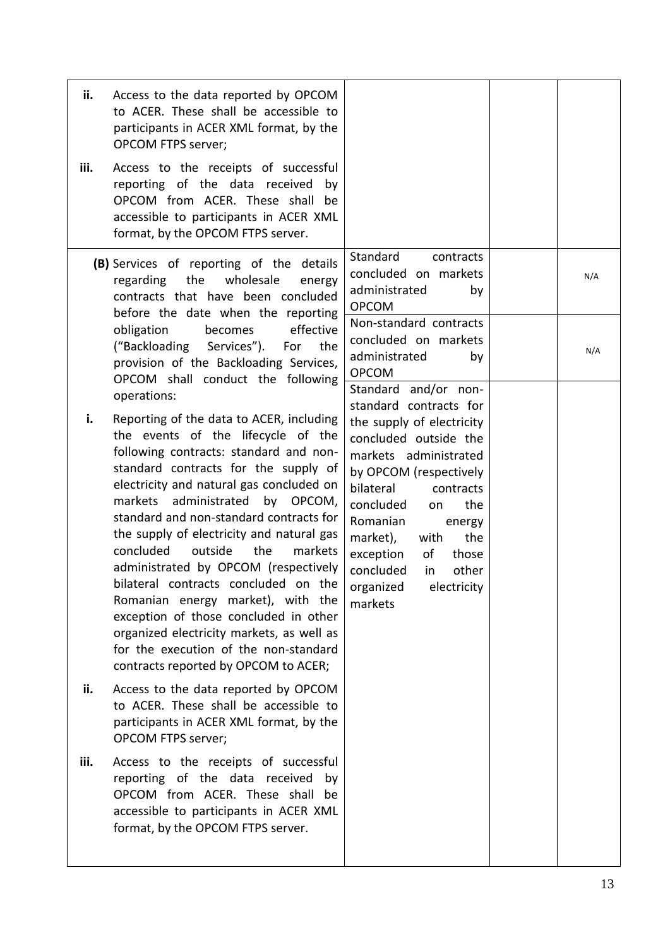| ii.<br>iii. | Access to the data reported by OPCOM<br>to ACER. These shall be accessible to<br>participants in ACER XML format, by the<br><b>OPCOM FTPS server;</b><br>Access to the receipts of successful<br>reporting of the data received<br>by<br>OPCOM from ACER. These shall be<br>accessible to participants in ACER XML<br>format, by the OPCOM FTPS server.                                                                                                                                                                                                                                                                                                                                            |                                                                                                                                                                                                                                                                                                                                                             |            |
|-------------|----------------------------------------------------------------------------------------------------------------------------------------------------------------------------------------------------------------------------------------------------------------------------------------------------------------------------------------------------------------------------------------------------------------------------------------------------------------------------------------------------------------------------------------------------------------------------------------------------------------------------------------------------------------------------------------------------|-------------------------------------------------------------------------------------------------------------------------------------------------------------------------------------------------------------------------------------------------------------------------------------------------------------------------------------------------------------|------------|
|             | (B) Services of reporting of the<br>details<br>regarding the<br>wholesale<br>energy<br>contracts that have been concluded<br>before the date when the reporting<br>effective<br>obligation<br>becomes<br>Services").<br>("Backloading<br>For<br>the<br>provision of the Backloading Services,<br>OPCOM shall conduct the following                                                                                                                                                                                                                                                                                                                                                                 | Standard<br>contracts<br>concluded on markets<br>administrated<br>by<br><b>OPCOM</b><br>Non-standard contracts<br>concluded on markets<br>administrated<br>by<br><b>OPCOM</b>                                                                                                                                                                               | N/A<br>N/A |
| i.          | operations:<br>Reporting of the data to ACER, including<br>the events of the lifecycle of the<br>following contracts: standard and non-<br>standard contracts for the supply of<br>electricity and natural gas concluded on<br>administrated<br>markets<br>by OPCOM,<br>standard and non-standard contracts for<br>the supply of electricity and natural gas<br>concluded<br>outside<br>the<br>markets<br>administrated by OPCOM (respectively<br>bilateral contracts concluded on the<br>Romanian energy market), with the<br>exception of those concluded in other<br>organized electricity markets, as well as<br>for the execution of the non-standard<br>contracts reported by OPCOM to ACER; | Standard and/or non-<br>standard contracts for<br>the supply of electricity<br>concluded outside the<br>markets administrated<br>by OPCOM (respectively<br>bilateral<br>contracts<br>concluded<br>the<br>on<br>Romanian<br>energy<br>market),<br>the<br>with<br>exception<br>of<br>those<br>concluded<br>other<br>in<br>electricity<br>organized<br>markets |            |
| ii.         | Access to the data reported by OPCOM<br>to ACER. These shall be accessible to<br>participants in ACER XML format, by the<br><b>OPCOM FTPS server;</b>                                                                                                                                                                                                                                                                                                                                                                                                                                                                                                                                              |                                                                                                                                                                                                                                                                                                                                                             |            |
| iii.        | Access to the receipts of successful<br>reporting of the data received<br>by<br>OPCOM from ACER. These shall be<br>accessible to participants in ACER XML<br>format, by the OPCOM FTPS server.                                                                                                                                                                                                                                                                                                                                                                                                                                                                                                     |                                                                                                                                                                                                                                                                                                                                                             |            |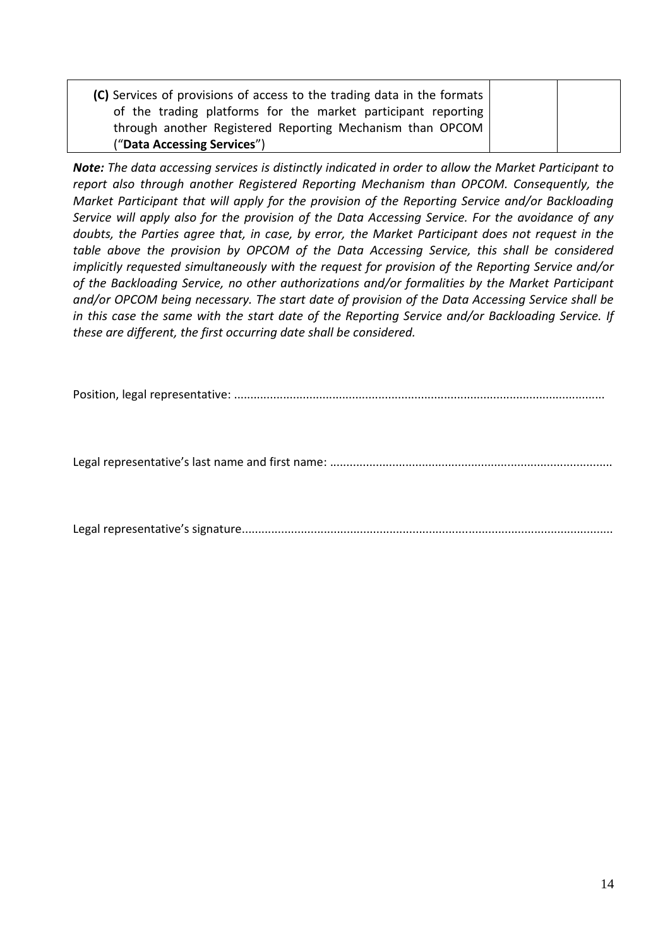| (C) Services of provisions of access to the trading data in the formats |  |
|-------------------------------------------------------------------------|--|
| of the trading platforms for the market participant reporting           |  |
| through another Registered Reporting Mechanism than OPCOM               |  |
| ("Data Accessing Services")                                             |  |

*Note: The data accessing services is distinctly indicated in order to allow the Market Participant to report also through another Registered Reporting Mechanism than OPCOM. Consequently, the Market Participant that will apply for the provision of the Reporting Service and/or Backloading Service will apply also for the provision of the Data Accessing Service. For the avoidance of any doubts, the Parties agree that, in case, by error, the Market Participant does not request in the table above the provision by OPCOM of the Data Accessing Service, this shall be considered implicitly requested simultaneously with the request for provision of the Reporting Service and/or of the Backloading Service, no other authorizations and/or formalities by the Market Participant and/or OPCOM being necessary. The start date of provision of the Data Accessing Service shall be in this case the same with the start date of the Reporting Service and/or Backloading Service. If these are different, the first occurring date shall be considered.*

Position, legal representative: .................................................................................................................

Legal representative's last name and first name: ......................................................................................

Legal representative's signature.................................................................................................................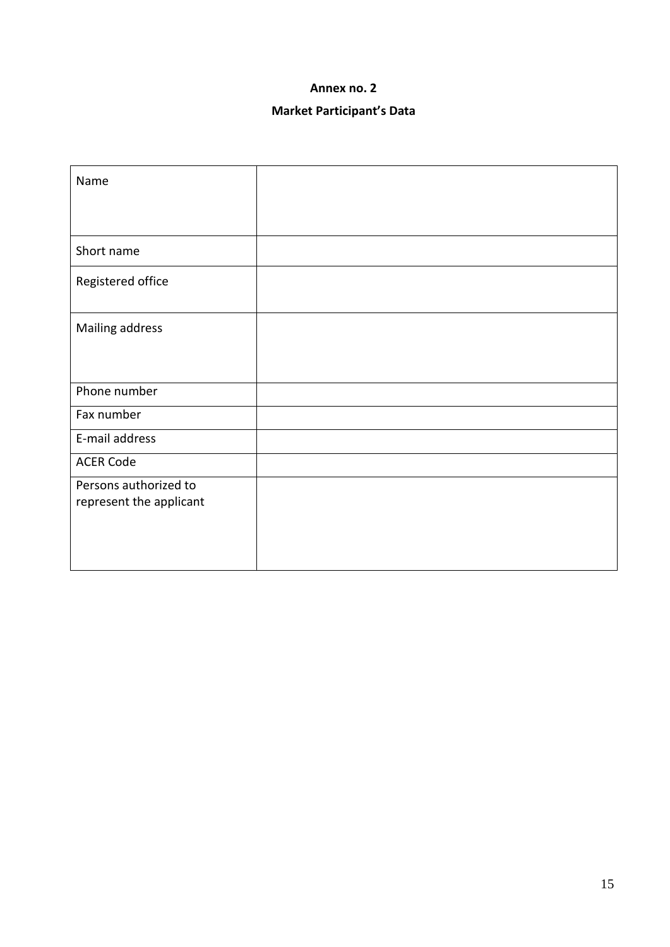# **Market Participant's Data**

| Name                                             |  |
|--------------------------------------------------|--|
|                                                  |  |
| Short name                                       |  |
| Registered office                                |  |
| Mailing address                                  |  |
|                                                  |  |
| Phone number                                     |  |
| Fax number                                       |  |
| E-mail address                                   |  |
| <b>ACER Code</b>                                 |  |
| Persons authorized to<br>represent the applicant |  |
|                                                  |  |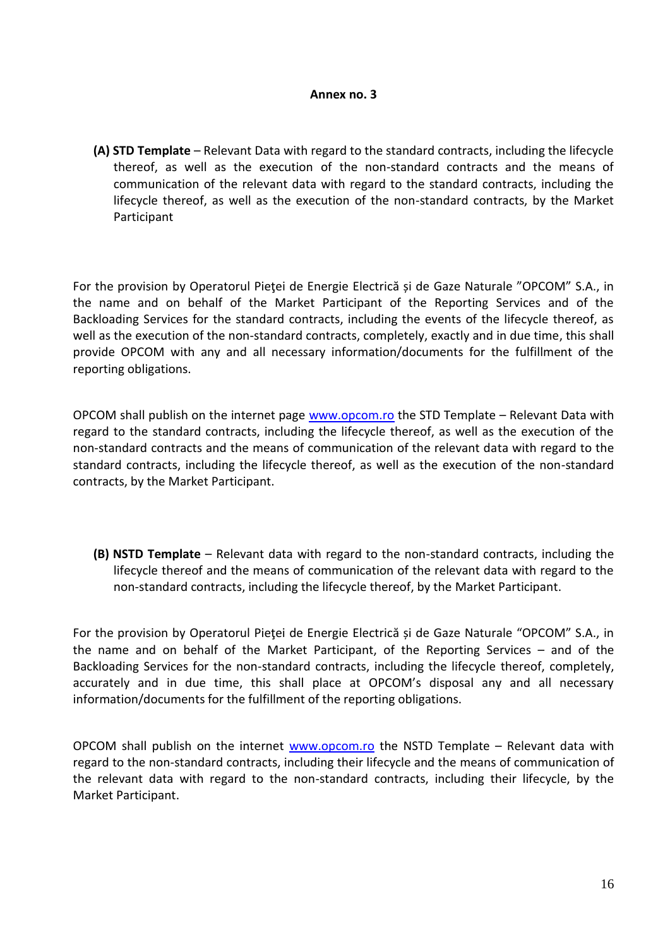**(A) STD Template** – Relevant Data with regard to the standard contracts, including the lifecycle thereof, as well as the execution of the non-standard contracts and the means of communication of the relevant data with regard to the standard contracts, including the lifecycle thereof, as well as the execution of the non-standard contracts, by the Market Participant

For the provision by Operatorul Pieţei de Energie Electrică și de Gaze Naturale "OPCOM" S.A., in the name and on behalf of the Market Participant of the Reporting Services and of the Backloading Services for the standard contracts, including the events of the lifecycle thereof, as well as the execution of the non-standard contracts, completely, exactly and in due time, this shall provide OPCOM with any and all necessary information/documents for the fulfillment of the reporting obligations.

OPCOM shall publish on the internet page [www.opcom.ro](http://www.opcom.ro/) the STD Template – Relevant Data with regard to the standard contracts, including the lifecycle thereof, as well as the execution of the non-standard contracts and the means of communication of the relevant data with regard to the standard contracts, including the lifecycle thereof, as well as the execution of the non-standard contracts, by the Market Participant.

**(B) NSTD Template** – Relevant data with regard to the non-standard contracts, including the lifecycle thereof and the means of communication of the relevant data with regard to the non-standard contracts, including the lifecycle thereof, by the Market Participant.

For the provision by Operatorul Pieţei de Energie Electrică și de Gaze Naturale "OPCOM" S.A., in the name and on behalf of the Market Participant, of the Reporting Services – and of the Backloading Services for the non-standard contracts, including the lifecycle thereof, completely, accurately and in due time, this shall place at OPCOM's disposal any and all necessary information/documents for the fulfillment of the reporting obligations.

OPCOM shall publish on the internet [www.opcom.ro](http://www.opcom.ro/) the NSTD Template – Relevant data with regard to the non-standard contracts, including their lifecycle and the means of communication of the relevant data with regard to the non-standard contracts, including their lifecycle, by the Market Participant.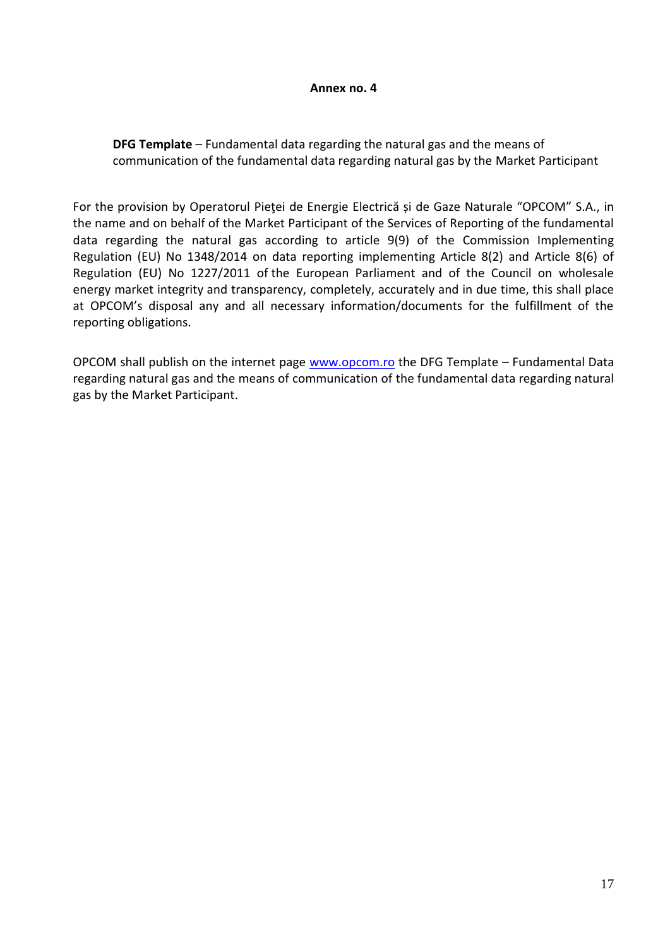### **DFG Template** – Fundamental data regarding the natural gas and the means of communication of the fundamental data regarding natural gas by the Market Participant

For the provision by Operatorul Pieţei de Energie Electrică și de Gaze Naturale "OPCOM" S.A., in the name and on behalf of the Market Participant of the Services of Reporting of the fundamental data regarding the natural gas according to article 9(9) of the Commission Implementing Regulation (EU) No 1348/2014 on data reporting implementing Article 8(2) and Article 8(6) of Regulation (EU) No 1227/2011 of the European Parliament and of the Council on wholesale energy market integrity and transparency, completely, accurately and in due time, this shall place at OPCOM's disposal any and all necessary information/documents for the fulfillment of the reporting obligations.

OPCOM shall publish on the internet page [www.opcom.ro](http://www.opcom.ro/) the DFG Template – Fundamental Data regarding natural gas and the means of communication of the fundamental data regarding natural gas by the Market Participant.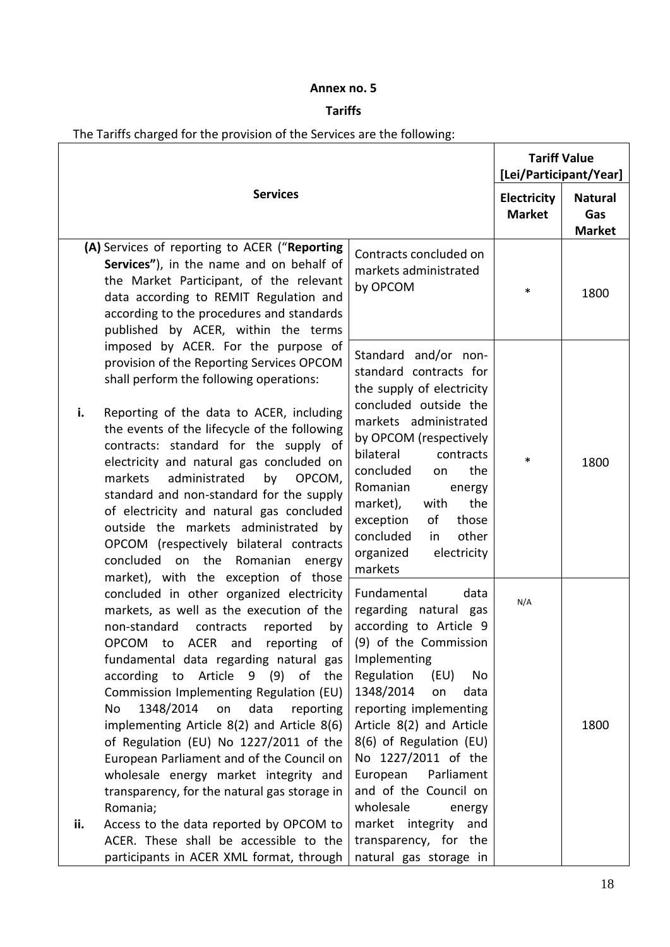## **Tariffs**

|     | The Tariffs charged for the provision of the Services are the following:                                                                                                                                                                                                                                                                                                                                                                                                                                                                                                                                                                                                                                                                   |                                                                                                                                                                                                                                                                                                                                                                                                              |                                               |                                        |
|-----|--------------------------------------------------------------------------------------------------------------------------------------------------------------------------------------------------------------------------------------------------------------------------------------------------------------------------------------------------------------------------------------------------------------------------------------------------------------------------------------------------------------------------------------------------------------------------------------------------------------------------------------------------------------------------------------------------------------------------------------------|--------------------------------------------------------------------------------------------------------------------------------------------------------------------------------------------------------------------------------------------------------------------------------------------------------------------------------------------------------------------------------------------------------------|-----------------------------------------------|----------------------------------------|
|     |                                                                                                                                                                                                                                                                                                                                                                                                                                                                                                                                                                                                                                                                                                                                            |                                                                                                                                                                                                                                                                                                                                                                                                              | <b>Tariff Value</b><br>[Lei/Participant/Year] |                                        |
|     | <b>Services</b>                                                                                                                                                                                                                                                                                                                                                                                                                                                                                                                                                                                                                                                                                                                            |                                                                                                                                                                                                                                                                                                                                                                                                              | Electricity<br><b>Market</b>                  | <b>Natural</b><br>Gas<br><b>Market</b> |
|     | (A) Services of reporting to ACER ("Reporting<br>Services"), in the name and on behalf of<br>the Market Participant, of the relevant<br>data according to REMIT Regulation and<br>according to the procedures and standards<br>published by ACER, within the terms                                                                                                                                                                                                                                                                                                                                                                                                                                                                         | Contracts concluded on<br>markets administrated<br>by OPCOM                                                                                                                                                                                                                                                                                                                                                  | $\ast$                                        | 1800                                   |
| i.  | imposed by ACER. For the purpose of<br>provision of the Reporting Services OPCOM<br>shall perform the following operations:<br>Reporting of the data to ACER, including<br>the events of the lifecycle of the following<br>contracts: standard for the supply of<br>electricity and natural gas concluded on<br>OPCOM,<br>markets<br>administrated<br>by<br>standard and non-standard for the supply<br>of electricity and natural gas concluded<br>outside the markets administrated by<br>OPCOM (respectively bilateral contracts<br>concluded on the Romanian<br>energy                                                                                                                                                                 | Standard and/or non-<br>standard contracts for<br>the supply of electricity<br>concluded outside the<br>markets administrated<br>by OPCOM (respectively<br>bilateral<br>contracts<br>concluded<br>the<br>on<br>Romanian<br>energy<br>market),<br>the<br>with<br>exception<br>of<br>those<br>concluded<br>other<br>in<br>organized<br>electricity<br>markets                                                  | *                                             | 1800                                   |
| ii. | market), with the exception of those<br>concluded in other organized electricity<br>markets, as well as the execution of the<br>non-standard<br>contracts<br>by<br>reported<br>to ACER and<br>reporting<br><b>OPCOM</b><br>of<br>fundamental data regarding natural gas<br>according to Article 9 (9)<br>of<br>the<br>Commission Implementing Regulation (EU)<br>1348/2014<br>on<br>data<br>No<br>reporting<br>implementing Article 8(2) and Article 8(6)<br>of Regulation (EU) No 1227/2011 of the<br>European Parliament and of the Council on<br>wholesale energy market integrity and<br>transparency, for the natural gas storage in<br>Romania;<br>Access to the data reported by OPCOM to<br>ACER. These shall be accessible to the | Fundamental<br>data<br>regarding natural gas<br>according to Article 9<br>(9) of the Commission<br>Implementing<br>Regulation<br>(EU)<br>No<br>1348/2014<br>on<br>data<br>reporting implementing<br>Article 8(2) and Article<br>8(6) of Regulation (EU)<br>No 1227/2011 of the<br>European<br>Parliament<br>and of the Council on<br>wholesale<br>energy<br>market integrity<br>and<br>transparency, for the | N/A                                           | 1800                                   |

natural gas storage in

participants in ACER XML format, through